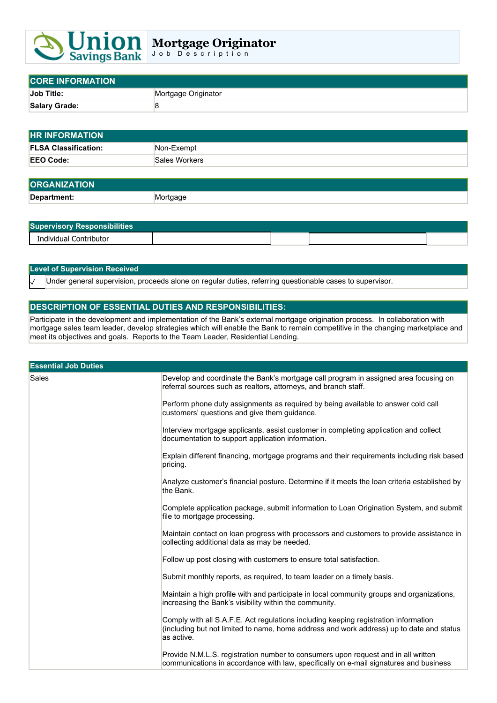

# **Mortgage Originator**

J o b D e s c r i p t i o n

| <b>CORE INFORMATION</b> |                     |  |
|-------------------------|---------------------|--|
| Job Title:              | Mortgage Originator |  |
| <b>Salary Grade:</b>    |                     |  |

| <b>HR INFORMATION</b>       |               |  |
|-----------------------------|---------------|--|
| <b>FLSA Classification:</b> | Non-Exempt    |  |
| <b>EEO Code:</b>            | Sales Workers |  |
|                             |               |  |

| <b>ORGANIZATION</b> |        |
|---------------------|--------|
| Department:         | rtaaae |

| <b>Supervisory Responsibilities</b> |  |  |  |  |
|-------------------------------------|--|--|--|--|
| Individual<br>ontributor            |  |  |  |  |

#### **Level of Supervision Received**

✓ Under general supervision, proceeds alone on regular duties, referring questionable cases to supervisor.

## **DESCRIPTION OF ESSENTIAL DUTIES AND RESPONSIBILITIES:**

Participate in the development and implementation of the Bank's external mortgage origination process. In collaboration with mortgage sales team leader, develop strategies which will enable the Bank to remain competitive in the changing marketplace and meet its objectives and goals. Reports to the Team Leader, Residential Lending.

| <b>Essential Job Duties</b> |                                                                                                                                                                                               |
|-----------------------------|-----------------------------------------------------------------------------------------------------------------------------------------------------------------------------------------------|
| <b>Sales</b>                | Develop and coordinate the Bank's mortgage call program in assigned area focusing on<br>referral sources such as realtors, attorneys, and branch staff.                                       |
|                             | Perform phone duty assignments as required by being available to answer cold call<br>customers' questions and give them guidance.                                                             |
|                             | Interview mortgage applicants, assist customer in completing application and collect<br>documentation to support application information.                                                     |
|                             | Explain different financing, mortgage programs and their requirements including risk based<br>pricing.                                                                                        |
|                             | Analyze customer's financial posture. Determine if it meets the loan criteria established by<br>the Bank.                                                                                     |
|                             | Complete application package, submit information to Loan Origination System, and submit<br>file to mortgage processing.                                                                       |
|                             | Maintain contact on loan progress with processors and customers to provide assistance in<br>collecting additional data as may be needed.                                                      |
|                             | Follow up post closing with customers to ensure total satisfaction.                                                                                                                           |
|                             | Submit monthly reports, as required, to team leader on a timely basis.                                                                                                                        |
|                             | Maintain a high profile with and participate in local community groups and organizations,<br>increasing the Bank's visibility within the community.                                           |
|                             | Comply with all S.A.F.E. Act regulations including keeping registration information<br>(including but not limited to name, home address and work address) up to date and status<br>as active. |
|                             | Provide N.M.L.S. registration number to consumers upon request and in all written<br>communications in accordance with law, specifically on e-mail signatures and business                    |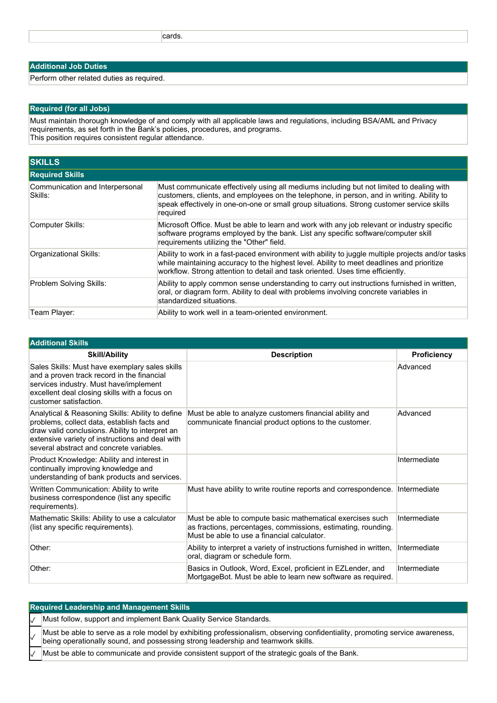## **Additional Job Duties**

Perform other related duties as required.

## **Required (for all Jobs)**

Must maintain thorough knowledge of and comply with all applicable laws and regulations, including BSA/AML and Privacy requirements, as set forth in the Bank's policies, procedures, and programs. This position requires consistent regular attendance.

| <b>SKILLS</b>                              |                                                                                                                                                                                                                                                                                                |  |  |  |
|--------------------------------------------|------------------------------------------------------------------------------------------------------------------------------------------------------------------------------------------------------------------------------------------------------------------------------------------------|--|--|--|
| <b>Required Skills</b>                     |                                                                                                                                                                                                                                                                                                |  |  |  |
| Communication and Interpersonal<br>Skills: | Must communicate effectively using all mediums including but not limited to dealing with<br>customers, clients, and employees on the telephone, in person, and in writing. Ability to<br>speak effectively in one-on-one or small group situations. Strong customer service skills<br>reguired |  |  |  |
| Computer Skills:                           | Microsoft Office. Must be able to learn and work with any job relevant or industry specific<br>software programs employed by the bank. List any specific software/computer skill<br>requirements utilizing the "Other" field.                                                                  |  |  |  |
| Organizational Skills:                     | Ability to work in a fast-paced environment with ability to juggle multiple projects and/or tasks<br>while maintaining accuracy to the highest level. Ability to meet deadlines and prioritize<br>workflow. Strong attention to detail and task oriented. Uses time efficiently.               |  |  |  |
| Problem Solving Skills:                    | Ability to apply common sense understanding to carry out instructions furnished in written,<br>oral, or diagram form. Ability to deal with problems involving concrete variables in<br>standardized situations.                                                                                |  |  |  |
| Team Player:                               | Ability to work well in a team-oriented environment.                                                                                                                                                                                                                                           |  |  |  |

| <b>Additional Skills</b>                                                                                                                                                                                                                          |                                                                                                                                                                           |                    |  |  |
|---------------------------------------------------------------------------------------------------------------------------------------------------------------------------------------------------------------------------------------------------|---------------------------------------------------------------------------------------------------------------------------------------------------------------------------|--------------------|--|--|
| <b>Skill/Ability</b>                                                                                                                                                                                                                              | <b>Description</b>                                                                                                                                                        | <b>Proficiency</b> |  |  |
| Sales Skills: Must have exemplary sales skills<br>and a proven track record in the financial<br>services industry. Must have/implement<br>excellent deal closing skills with a focus on<br>customer satisfaction.                                 |                                                                                                                                                                           | Advanced           |  |  |
| Analytical & Reasoning Skills: Ability to define<br>problems, collect data, establish facts and<br>draw valid conclusions. Ability to interpret an<br>extensive variety of instructions and deal with<br>several abstract and concrete variables. | Must be able to analyze customers financial ability and<br>communicate financial product options to the customer.                                                         | Advanced           |  |  |
| Product Knowledge: Ability and interest in<br>continually improving knowledge and<br>understanding of bank products and services.                                                                                                                 |                                                                                                                                                                           | Intermediate       |  |  |
| Written Communication: Ability to write<br>business correspondence (list any specific<br>requirements).                                                                                                                                           | Must have ability to write routine reports and correspondence.                                                                                                            | Intermediate       |  |  |
| Mathematic Skills: Ability to use a calculator<br>(list any specific requirements).                                                                                                                                                               | Must be able to compute basic mathematical exercises such<br>as fractions, percentages, commissions, estimating, rounding.<br>Must be able to use a financial calculator. | Intermediate       |  |  |
| Other:                                                                                                                                                                                                                                            | Ability to interpret a variety of instructions furnished in written,<br>oral, diagram or schedule form.                                                                   | Intermediate       |  |  |
| Other:                                                                                                                                                                                                                                            | Basics in Outlook, Word, Excel, proficient in EZLender, and<br>MortgageBot. Must be able to learn new software as required.                                               | Intermediate       |  |  |

| <b>Required Leadership and Management Skills</b>                                                                                                                                                                 |  |  |  |
|------------------------------------------------------------------------------------------------------------------------------------------------------------------------------------------------------------------|--|--|--|
| Must follow, support and implement Bank Quality Service Standards.                                                                                                                                               |  |  |  |
| Must be able to serve as a role model by exhibiting professionalism, observing confidentiality, promoting service awareness,<br>being operationally sound, and possessing strong leadership and teamwork skills. |  |  |  |

Must be able to communicate and provide consistent support of the strategic goals of the Bank.